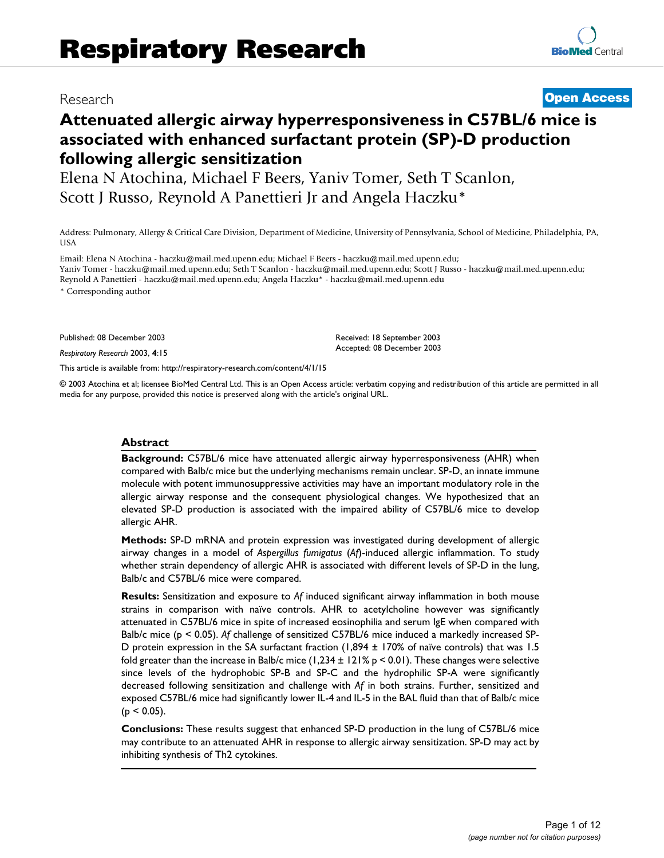# Research **[Open Access](http://www.biomedcentral.com/info/about/charter/)**

# **Attenuated allergic airway hyperresponsiveness in C57BL/6 mice is associated with enhanced surfactant protein (SP)-D production following allergic sensitization**

Elena N Atochina, Michael F Beers, Yaniv Tomer, Seth T Scanlon, Scott J Russo, Reynold A Panettieri Jr and Angela Haczku\*

Address: Pulmonary, Allergy & Critical Care Division, Department of Medicine, University of Pennsylvania, School of Medicine, Philadelphia, PA, **USA** 

Email: Elena N Atochina - haczku@mail.med.upenn.edu; Michael F Beers - haczku@mail.med.upenn.edu; Yaniv Tomer - haczku@mail.med.upenn.edu; Seth T Scanlon - haczku@mail.med.upenn.edu; Scott J Russo - haczku@mail.med.upenn.edu; Reynold A Panettieri - haczku@mail.med.upenn.edu; Angela Haczku\* - haczku@mail.med.upenn.edu

\* Corresponding author

Published: 08 December 2003

*Respiratory Research* 2003, **4**:15

[This article is available from: http://respiratory-research.com/content/4/1/15](http://respiratory-research.com/content/4/1/15)

© 2003 Atochina et al; licensee BioMed Central Ltd. This is an Open Access article: verbatim copying and redistribution of this article are permitted in all media for any purpose, provided this notice is preserved along with the article's original URL.

Received: 18 September 2003 Accepted: 08 December 2003

#### **Abstract**

**Background:** C57BL/6 mice have attenuated allergic airway hyperresponsiveness (AHR) when compared with Balb/c mice but the underlying mechanisms remain unclear. SP-D, an innate immune molecule with potent immunosuppressive activities may have an important modulatory role in the allergic airway response and the consequent physiological changes. We hypothesized that an elevated SP-D production is associated with the impaired ability of C57BL/6 mice to develop allergic AHR.

**Methods:** SP-D mRNA and protein expression was investigated during development of allergic airway changes in a model of *Aspergillus fumigatus* (*Af*)-induced allergic inflammation. To study whether strain dependency of allergic AHR is associated with different levels of SP-D in the lung, Balb/c and C57BL/6 mice were compared.

**Results:** Sensitization and exposure to *Af* induced significant airway inflammation in both mouse strains in comparison with naïve controls. AHR to acetylcholine however was significantly attenuated in C57BL/6 mice in spite of increased eosinophilia and serum IgE when compared with Balb/c mice (p < 0.05). *Af* challenge of sensitized C57BL/6 mice induced a markedly increased SP-D protein expression in the SA surfactant fraction (1,894 ± 170% of naïve controls) that was 1.5 fold greater than the increase in Balb/c mice  $(1,234 \pm 121\% \text{ p} < 0.01)$ . These changes were selective since levels of the hydrophobic SP-B and SP-C and the hydrophilic SP-A were significantly decreased following sensitization and challenge with *Af* in both strains. Further, sensitized and exposed C57BL/6 mice had significantly lower IL-4 and IL-5 in the BAL fluid than that of Balb/c mice  $(p < 0.05)$ .

**Conclusions:** These results suggest that enhanced SP-D production in the lung of C57BL/6 mice may contribute to an attenuated AHR in response to allergic airway sensitization. SP-D may act by inhibiting synthesis of Th2 cytokines.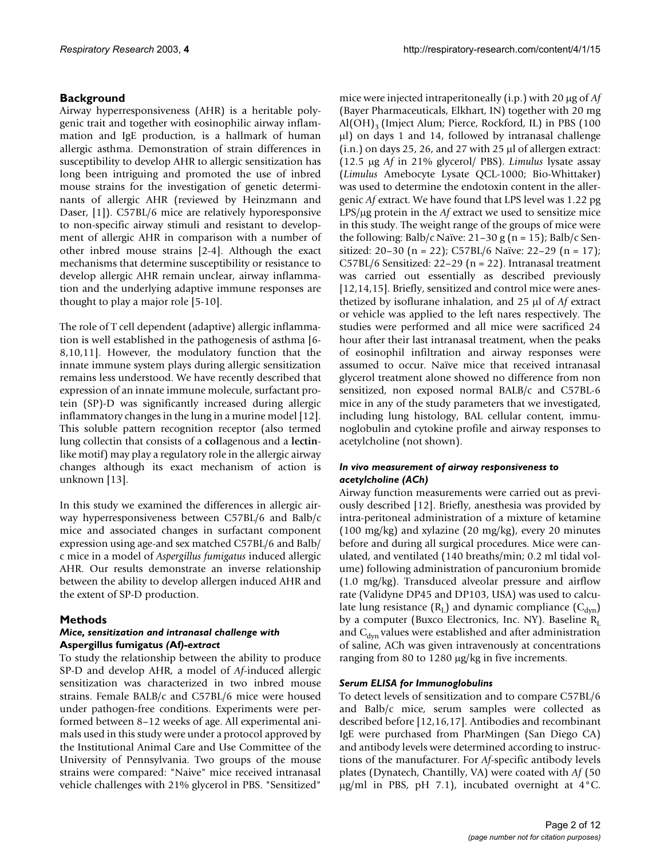# **Background**

Airway hyperresponsiveness (AHR) is a heritable polygenic trait and together with eosinophilic airway inflammation and IgE production, is a hallmark of human allergic asthma. Demonstration of strain differences in susceptibility to develop AHR to allergic sensitization has long been intriguing and promoted the use of inbred mouse strains for the investigation of genetic determinants of allergic AHR (reviewed by Heinzmann and Daser, [1]). C57BL/6 mice are relatively hyporesponsive to non-specific airway stimuli and resistant to development of allergic AHR in comparison with a number of other inbred mouse strains [2-4]. Although the exact mechanisms that determine susceptibility or resistance to develop allergic AHR remain unclear, airway inflammation and the underlying adaptive immune responses are thought to play a major role [5-10].

The role of T cell dependent (adaptive) allergic inflammation is well established in the pathogenesis of asthma [6- 8,10,11]. However, the modulatory function that the innate immune system plays during allergic sensitization remains less understood. We have recently described that expression of an innate immune molecule, surfactant protein (SP)-D was significantly increased during allergic inflammatory changes in the lung in a murine model [12]. This soluble pattern recognition receptor (also termed lung collectin that consists of a **col**lagenous and a **lectin**like motif) may play a regulatory role in the allergic airway changes although its exact mechanism of action is unknown [13].

In this study we examined the differences in allergic airway hyperresponsiveness between C57BL/6 and Balb/c mice and associated changes in surfactant component expression using age-and sex matched C57BL/6 and Balb/ c mice in a model of *Aspergillus fumigatus* induced allergic AHR. Our results demonstrate an inverse relationship between the ability to develop allergen induced AHR and the extent of SP-D production.

## **Methods**

### *Mice, sensitization and intranasal challenge with*  **Aspergillus fumigatus** *(***Af***)-extract*

To study the relationship between the ability to produce SP-D and develop AHR, a model of *Af*-induced allergic sensitization was characterized in two inbred mouse strains. Female BALB/c and C57BL/6 mice were housed under pathogen-free conditions. Experiments were performed between 8–12 weeks of age. All experimental animals used in this study were under a protocol approved by the Institutional Animal Care and Use Committee of the University of Pennsylvania. Two groups of the mouse strains were compared: "Naive" mice received intranasal vehicle challenges with 21% glycerol in PBS. "Sensitized"

mice were injected intraperitoneally (i.p.) with 20 µg of *Af* (Bayer Pharmaceuticals, Elkhart, IN) together with 20 mg Al(OH)<sub>3</sub> (Imject Alum; Pierce, Rockford, IL) in PBS (100 µl) on days 1 and 14, followed by intranasal challenge (i.n.) on days 25, 26, and 27 with 25 µl of allergen extract: (12.5 µg *Af* in 21% glycerol/ PBS). *Limulus* lysate assay (*Limulus* Amebocyte Lysate QCL-1000; Bio-Whittaker) was used to determine the endotoxin content in the allergenic *Af* extract. We have found that LPS level was 1.22 pg LPS/µg protein in the *Af* extract we used to sensitize mice in this study. The weight range of the groups of mice were the following: Balb/c Naïve:  $21-30$  g (n = 15); Balb/c Sensitized: 20–30 (n = 22); C57BL/6 Naïve: 22–29 (n = 17); C57BL/6 Sensitized: 22–29 (n = 22). Intranasal treatment was carried out essentially as described previously [12,14,15]. Briefly, sensitized and control mice were anesthetized by isoflurane inhalation, and 25 µl of *Af* extract or vehicle was applied to the left nares respectively. The studies were performed and all mice were sacrificed 24 hour after their last intranasal treatment, when the peaks of eosinophil infiltration and airway responses were assumed to occur. Naïve mice that received intranasal glycerol treatment alone showed no difference from non sensitized, non exposed normal BALB/c and C57BL-6 mice in any of the study parameters that we investigated, including lung histology, BAL cellular content, immunoglobulin and cytokine profile and airway responses to acetylcholine (not shown).

#### *In vivo measurement of airway responsiveness to acetylcholine (ACh)*

Airway function measurements were carried out as previously described [12]. Briefly, anesthesia was provided by intra-peritoneal administration of a mixture of ketamine (100 mg/kg) and xylazine (20 mg/kg), every 20 minutes before and during all surgical procedures. Mice were canulated, and ventilated (140 breaths/min; 0.2 ml tidal volume) following administration of pancuronium bromide (1.0 mg/kg). Transduced alveolar pressure and airflow rate (Validyne DP45 and DP103, USA) was used to calculate lung resistance  $(R_L)$  and dynamic compliance  $(C_{dyn})$ by a computer (Buxco Electronics, Inc. NY). Baseline  $R_L$ and  $C_{dyn}$  values were established and after administration of saline, ACh was given intravenously at concentrations ranging from 80 to 1280 µg/kg in five increments.

### *Serum ELISA for Immunoglobulins*

To detect levels of sensitization and to compare C57BL/6 and Balb/c mice, serum samples were collected as described before [12,16,17]. Antibodies and recombinant IgE were purchased from PharMingen (San Diego CA) and antibody levels were determined according to instructions of the manufacturer. For *Af*-specific antibody levels plates (Dynatech, Chantilly, VA) were coated with *Af* (50  $\mu$ g/ml in PBS, pH 7.1), incubated overnight at 4 °C.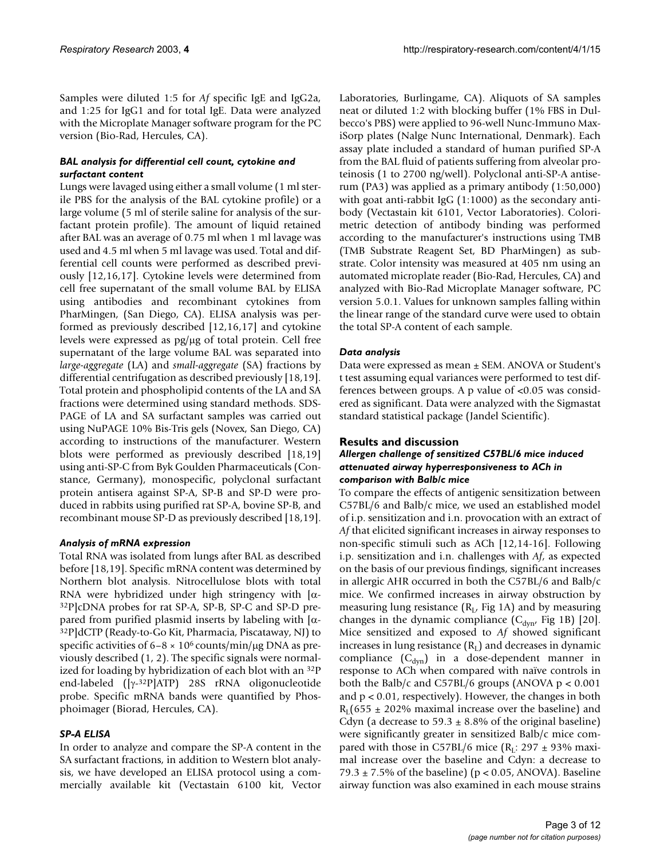Samples were diluted 1:5 for *Af* specific IgE and IgG2a, and 1:25 for IgG1 and for total IgE. Data were analyzed with the Microplate Manager software program for the PC version (Bio-Rad, Hercules, CA).

### *BAL analysis for differential cell count, cytokine and surfactant content*

Lungs were lavaged using either a small volume (1 ml sterile PBS for the analysis of the BAL cytokine profile) or a large volume (5 ml of sterile saline for analysis of the surfactant protein profile). The amount of liquid retained after BAL was an average of 0.75 ml when 1 ml lavage was used and 4.5 ml when 5 ml lavage was used. Total and differential cell counts were performed as described previously [12,16,17]. Cytokine levels were determined from cell free supernatant of the small volume BAL by ELISA using antibodies and recombinant cytokines from PharMingen, (San Diego, CA). ELISA analysis was performed as previously described [12,16,17] and cytokine levels were expressed as pg/µg of total protein. Cell free supernatant of the large volume BAL was separated into *large-aggregate* (LA) and *small-aggregate* (SA) fractions by differential centrifugation as described previously [18,19]. Total protein and phospholipid contents of the LA and SA fractions were determined using standard methods. SDS-PAGE of LA and SA surfactant samples was carried out using NuPAGE 10% Bis-Tris gels (Novex, San Diego, CA) according to instructions of the manufacturer. Western blots were performed as previously described [18,19] using anti-SP-C from Byk Goulden Pharmaceuticals (Constance, Germany), monospecific, polyclonal surfactant protein antisera against SP-A, SP-B and SP-D were produced in rabbits using purified rat SP-A, bovine SP-B, and recombinant mouse SP-D as previously described [18,19].

### *Analysis of mRNA expression*

Total RNA was isolated from lungs after BAL as described before [18,19]. Specific mRNA content was determined by Northern blot analysis. Nitrocellulose blots with total RNA were hybridized under high stringency with  $\alpha$ -32P]cDNA probes for rat SP-A, SP-B, SP-C and SP-D prepared from purified plasmid inserts by labeling with  $[α-$ 32P]dCTP (Ready-to-Go Kit, Pharmacia, Piscataway, NJ) to specific activities of  $6-8 \times 10^6$  counts/min/µg DNA as previously described (1, 2). The specific signals were normalized for loading by hybridization of each blot with an 32P end-labeled ([γ-32P]ATP) 28S rRNA oligonucleotide probe. Specific mRNA bands were quantified by Phosphoimager (Biorad, Hercules, CA).

### *SP-A ELISA*

In order to analyze and compare the SP-A content in the SA surfactant fractions, in addition to Western blot analysis, we have developed an ELISA protocol using a commercially available kit (Vectastain 6100 kit, Vector Laboratories, Burlingame, CA). Aliquots of SA samples neat or diluted 1:2 with blocking buffer (1% FBS in Dulbecco's PBS) were applied to 96-well Nunc-Immuno MaxiSorp plates (Nalge Nunc International, Denmark). Each assay plate included a standard of human purified SP-A from the BAL fluid of patients suffering from alveolar proteinosis (1 to 2700 ng/well). Polyclonal anti-SP-A antiserum (PA3) was applied as a primary antibody (1:50,000) with goat anti-rabbit IgG (1:1000) as the secondary antibody (Vectastain kit 6101, Vector Laboratories). Colorimetric detection of antibody binding was performed according to the manufacturer's instructions using TMB (TMB Substrate Reagent Set, BD PharMingen) as substrate. Color intensity was measured at 405 nm using an automated microplate reader (Bio-Rad, Hercules, CA) and analyzed with Bio-Rad Microplate Manager software, PC version 5.0.1. Values for unknown samples falling within the linear range of the standard curve were used to obtain the total SP-A content of each sample.

### *Data analysis*

Data were expressed as mean ± SEM. ANOVA or Student's t test assuming equal variances were performed to test differences between groups. A p value of <0.05 was considered as significant. Data were analyzed with the Sigmastat standard statistical package (Jandel Scientific).

### **Results and discussion**

#### *Allergen challenge of sensitized C57BL/6 mice induced attenuated airway hyperresponsiveness to ACh in comparison with Balb/c mice*

To compare the effects of antigenic sensitization between C57BL/6 and Balb/c mice, we used an established model of i.p. sensitization and i.n. provocation with an extract of *Af* that elicited significant increases in airway responses to non-specific stimuli such as ACh [12,14-16]. Following i.p. sensitization and i.n. challenges with *Af*, as expected on the basis of our previous findings, significant increases in allergic AHR occurred in both the C57BL/6 and Balb/c mice. We confirmed increases in airway obstruction by measuring lung resistance ( $R_L$ , Fig 1A) and by measuring changes in the dynamic compliance  $(C_{\text{dyn}}$ , Fig 1B) [20]. Mice sensitized and exposed to *Af* showed significant increases in lung resistance  $(R<sub>L</sub>)$  and decreases in dynamic compliance  $(C_{dyn})$  in a dose-dependent manner in response to ACh when compared with naïve controls in both the Balb/c and C57BL/6 groups (ANOVA  $p < 0.001$ ) and  $p < 0.01$ , respectively). However, the changes in both  $R_1(655 \pm 202\%$  maximal increase over the baseline) and Cdyn (a decrease to  $59.3 \pm 8.8\%$  of the original baseline) were significantly greater in sensitized Balb/c mice compared with those in C57BL/6 mice  $(R<sub>1</sub>: 297 \pm 93\%$  maximal increase over the baseline and Cdyn: a decrease to 79.3  $\pm$  7.5% of the baseline) (p < 0.05, ANOVA). Baseline airway function was also examined in each mouse strains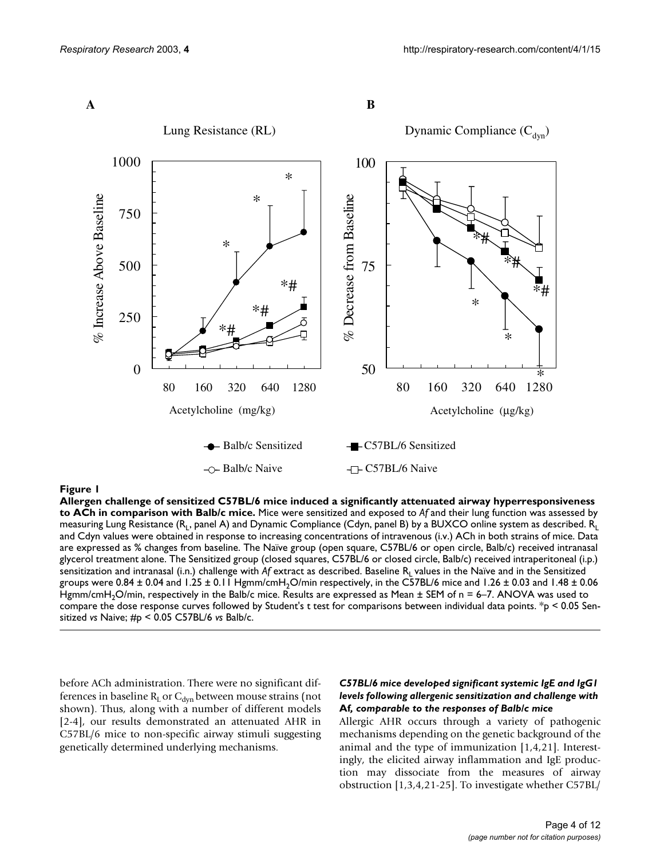

**Allergen challenge of sensitized C57BL/6 mice induced a significantly attenuated airway hyperresponsiveness to ACh in comparison with Balb/c mice.** Mice were sensitized and exposed to *Af* and their lung function was assessed by measuring Lung Resistance ( $R_1$ , panel A) and Dynamic Compliance (Cdyn, panel B) by a BUXCO online system as described.  $R_1$ and Cdyn values were obtained in response to increasing concentrations of intravenous (i.v.) ACh in both strains of mice. Data are expressed as % changes from baseline. The Naïve group (open square, C57BL/6 or open circle, Balb/c) received intranasal glycerol treatment alone. The Sensitized group (closed squares, C57BL/6 or closed circle, Balb/c) received intraperitoneal (i.p.) sensitization and intranasal (i.n.) challenge with Af extract as described. Baseline R<sub>L</sub> values in the Naïve and in the Sensitized groups were 0.84  $\pm$  0.04 and 1.25  $\pm$  0.11 Hgmm/cmH<sub>2</sub>O/min respectively, in the C57BL/6 mice and 1.26  $\pm$  0.03 and 1.48  $\pm$  0.06 Hgmm/cmH<sub>2</sub>O/min, respectively in the Balb/c mice. Results are expressed as Mean ± SEM of n = 6–7. ANOVA was used to compare the dose response curves followed by Student's t test for comparisons between individual data points. \*p < 0.05 Sensitized *vs* Naive; #p < 0.05 C57BL/6 *vs* Balb/c.

before ACh administration. There were no significant differences in baseline  $R_L$  or  $C_{dyn}$  between mouse strains (not shown). Thus, along with a number of different models [2-4], our results demonstrated an attenuated AHR in C57BL/6 mice to non-specific airway stimuli suggesting genetically determined underlying mechanisms.

#### *C57BL/6 mice developed significant systemic IgE and IgG1 levels following allergenic sensitization and challenge with*  **Af***, comparable to the responses of Balb/c mice*

Allergic AHR occurs through a variety of pathogenic mechanisms depending on the genetic background of the animal and the type of immunization [1,4,21]. Interestingly, the elicited airway inflammation and IgE production may dissociate from the measures of airway obstruction [1,3,4,21-25]. To investigate whether C57BL/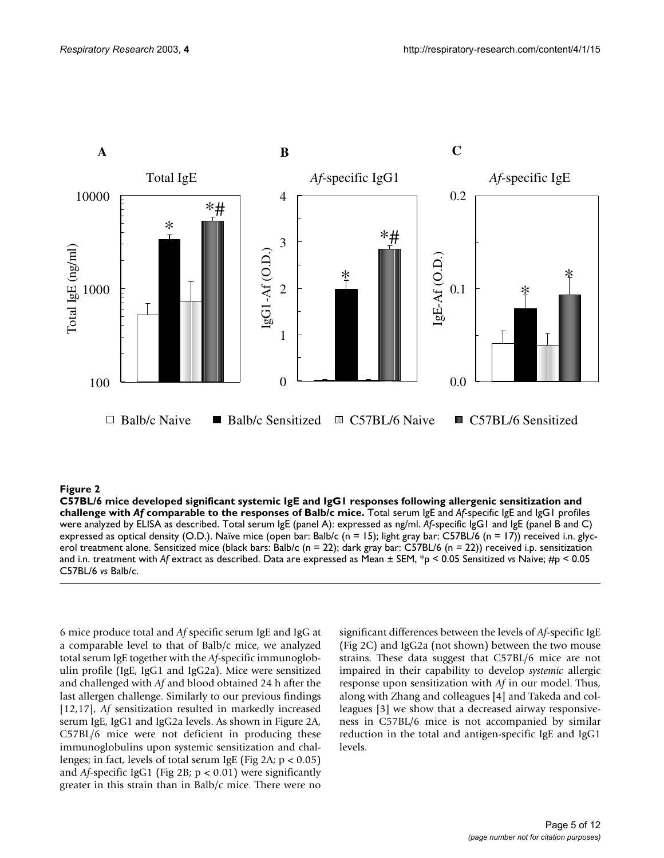

C57BL/6 mice developed significant systemic IgE and IgG1 re comparable to the responses of Balb/c mice **Figure 2** sponses following allergenic sensitization and challenge with *Af*  **C57BL/6 mice developed significant systemic IgE and IgG1 responses following allergenic sensitization and challenge with** *Af* **comparable to the responses of Balb/c mice.** Total serum IgE and *Af*-specific IgE and IgG1 profiles were analyzed by ELISA as described. Total serum IgE (panel A): expressed as ng/ml. *Af*-specific IgG1 and IgE (panel B and C) expressed as optical density (O.D.). Naïve mice (open bar: Balb/c (n = 15); light gray bar: C57BL/6 (n = 17)) received i.n. glycerol treatment alone. Sensitized mice (black bars: Balb/c (n = 22); dark gray bar: C57BL/6 (n = 22)) received i.p. sensitization and i.n. treatment with *Af* extract as described. Data are expressed as Mean ± SEM, \*p < 0.05 Sensitized *vs* Naive; #p < 0.05 C57BL/6 *vs* Balb/c.

6 mice produce total and *Af* specific serum IgE and IgG at a comparable level to that of Balb/c mice, we analyzed total serum IgE together with the *Af*-specific immunoglobulin profile (IgE, IgG1 and IgG2a). Mice were sensitized and challenged with *Af* and blood obtained 24 h after the last allergen challenge. Similarly to our previous findings [12,17], *Af* sensitization resulted in markedly increased serum IgE, IgG1 and IgG2a levels. As shown in Figure 2A, C57BL/6 mice were not deficient in producing these immunoglobulins upon systemic sensitization and challenges; in fact, levels of total serum IgE (Fig 2A;  $p < 0.05$ ) and *Af*-specific IgG1 (Fig 2B; p < 0.01) were significantly greater in this strain than in Balb/c mice. There were no

significant differences between the levels of *Af*-specific IgE (Fig 2C) and IgG2a (not shown) between the two mouse strains. These data suggest that C57BL/6 mice are not impaired in their capability to develop *systemic* allergic response upon sensitization with *Af* in our model. Thus, along with Zhang and colleagues [4] and Takeda and colleagues [3] we show that a decreased airway responsiveness in C57BL/6 mice is not accompanied by similar reduction in the total and antigen-specific IgE and IgG1 levels.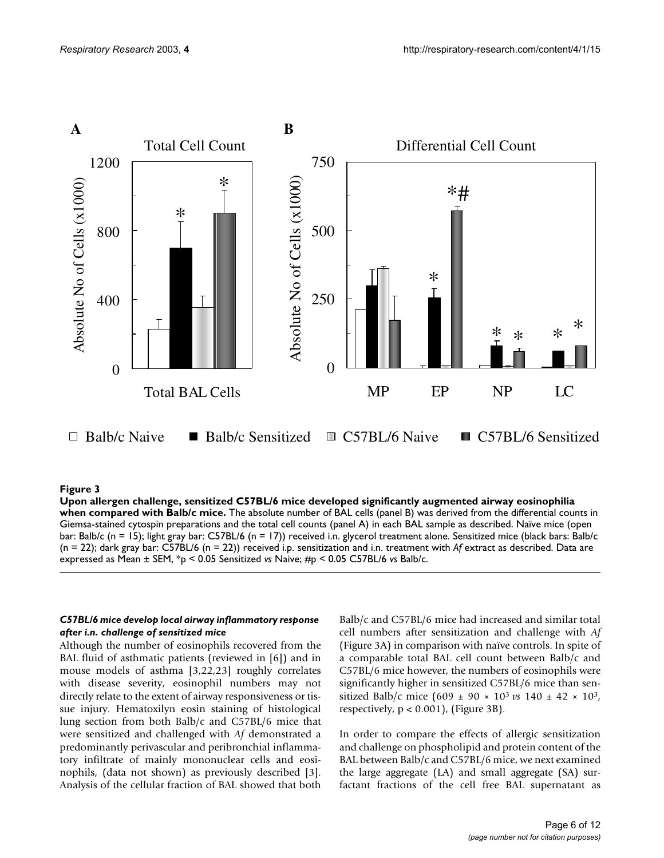

#### Upon allergen challenge, sensitized C57B Balb/c mice **Figure 3** L/6 mice developed significantly augmented airway eosinophilia when compared with

**Upon allergen challenge, sensitized C57BL/6 mice developed significantly augmented airway eosinophilia when compared with Balb/c mice.** The absolute number of BAL cells (panel B) was derived from the differential counts in Giemsa-stained cytospin preparations and the total cell counts (panel A) in each BAL sample as described. Naïve mice (open bar: Balb/c (n = 15); light gray bar: C57BL/6 (n = 17)) received i.n. glycerol treatment alone. Sensitized mice (black bars: Balb/c (n = 22); dark gray bar: C57BL/6 (n = 22)) received i.p. sensitization and i.n. treatment with *Af* extract as described. Data are expressed as Mean ± SEM, \*p < 0.05 Sensitized *vs* Naive; #p < 0.05 C57BL/6 *vs* Balb/c.

#### *C57BL/6 mice develop local airway inflammatory response after i.n. challenge of sensitized mice*

Although the number of eosinophils recovered from the BAL fluid of asthmatic patients (reviewed in [6]) and in mouse models of asthma [3,22,23] roughly correlates with disease severity, eosinophil numbers may not directly relate to the extent of airway responsiveness or tissue injury. Hematoxilyn eosin staining of histological lung section from both Balb/c and C57BL/6 mice that were sensitized and challenged with *Af* demonstrated a predominantly perivascular and peribronchial inflammatory infiltrate of mainly mononuclear cells and eosinophils, (data not shown) as previously described [3]. Analysis of the cellular fraction of BAL showed that both Balb/c and C57BL/6 mice had increased and similar total cell numbers after sensitization and challenge with *Af* (Figure 3A) in comparison with naïve controls. In spite of a comparable total BAL cell count between Balb/c and C57BL/6 mice however, the numbers of eosinophils were significantly higher in sensitized C57BL/6 mice than sensitized Balb/c mice (609 ± 90 × 103 *vs* 140 ± 42 × 103, respectively,  $p < 0.001$ ), (Figure 3B).

In order to compare the effects of allergic sensitization and challenge on phospholipid and protein content of the BAL between Balb/c and C57BL/6 mice, we next examined the large aggregate (LA) and small aggregate (SA) surfactant fractions of the cell free BAL supernatant as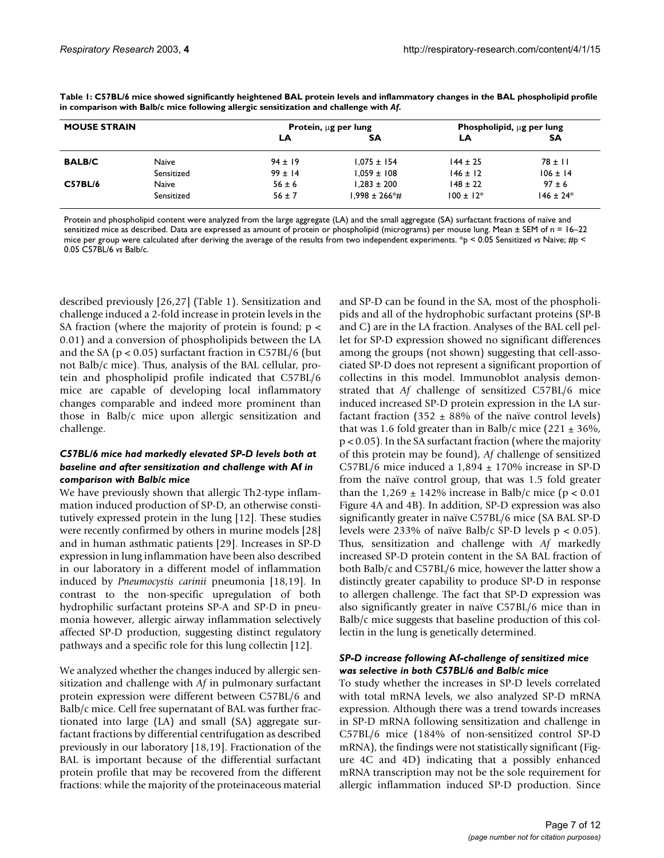| <b>MOUSE STRAIN</b> |              | Protein, ug per lung |                    | Phospholipid, ug per lung |               |
|---------------------|--------------|----------------------|--------------------|---------------------------|---------------|
|                     |              | LΑ                   | <b>SA</b>          | LA                        | SΑ            |
| <b>BALB/C</b>       | <b>Naive</b> | $94 \pm 19$          | $1.075 \pm 154$    | $144 \pm 25$              | $78 \pm 11$   |
|                     | Sensitized   | $99 \pm 14$          | $1.059 \pm 108$    | $146 \pm 12$              | $106 \pm 14$  |
| <b>C57BL/6</b>      | Naive        | $56 \pm 6$           | $1.283 \pm 200$    | $148 \pm 22$              | $97 \pm 6$    |
|                     | Sensitized   | $56 \pm 7$           | $1.998 \pm 266*$ # | $100 \pm 12$ *            | $146 \pm 24*$ |

<span id="page-6-0"></span>**Table 1: C57BL/6 mice showed significantly heightened BAL protein levels and inflammatory changes in the BAL phospholipid profile in comparison with Balb/c mice following allergic sensitization and challenge with** *Af***.**

Protein and phospholipid content were analyzed from the large aggregate (LA) and the small aggregate (SA) surfactant fractions of naïve and sensitized mice as described. Data are expressed as amount of protein or phospholipid (micrograms) per mouse lung. Mean  $\pm$  SEM of n = 16-22 mice per group were calculated after deriving the average of the results from two independent experiments. \*p < 0.05 Sensitized *vs* Naive; #p < 0.05 C57BL/6 *vs* Balb/c.

described previously [26,27] (Table [1\)](#page-6-0). Sensitization and challenge induced a 2-fold increase in protein levels in the SA fraction (where the majority of protein is found;  $p <$ 0.01) and a conversion of phospholipids between the LA and the SA ( $p < 0.05$ ) surfactant fraction in C57BL/6 (but not Balb/c mice). Thus, analysis of the BAL cellular, protein and phospholipid profile indicated that C57BL/6 mice are capable of developing local inflammatory changes comparable and indeed more prominent than those in Balb/c mice upon allergic sensitization and challenge.

#### *C57BL/6 mice had markedly elevated SP-D levels both at baseline and after sensitization and challenge with* **Af** *in comparison with Balb/c mice*

We have previously shown that allergic Th2-type inflammation induced production of SP-D, an otherwise constitutively expressed protein in the lung [12]. These studies were recently confirmed by others in murine models [28] and in human asthmatic patients [29]. Increases in SP-D expression in lung inflammation have been also described in our laboratory in a different model of inflammation induced by *Pneumocystis carinii* pneumonia [18,19]. In contrast to the non-specific upregulation of both hydrophilic surfactant proteins SP-A and SP-D in pneumonia however, allergic airway inflammation selectively affected SP-D production, suggesting distinct regulatory pathways and a specific role for this lung collectin [12].

We analyzed whether the changes induced by allergic sensitization and challenge with *Af* in pulmonary surfactant protein expression were different between C57BL/6 and Balb/c mice. Cell free supernatant of BAL was further fractionated into large (LA) and small (SA) aggregate surfactant fractions by differential centrifugation as described previously in our laboratory [18,19]. Fractionation of the BAL is important because of the differential surfactant protein profile that may be recovered from the different fractions: while the majority of the proteinaceous material

and SP-D can be found in the SA, most of the phospholipids and all of the hydrophobic surfactant proteins (SP-B and C) are in the LA fraction. Analyses of the BAL cell pellet for SP-D expression showed no significant differences among the groups (not shown) suggesting that cell-associated SP-D does not represent a significant proportion of collectins in this model. Immunoblot analysis demonstrated that *Af* challenge of sensitized C57BL/6 mice induced increased SP-D protein expression in the LA surfactant fraction (352  $\pm$  88% of the naïve control levels) that was 1.6 fold greater than in Balb/c mice  $(221 \pm 36\%$ , p < 0.05). In the SA surfactant fraction (where the majority of this protein may be found), *Af* challenge of sensitized C57BL/6 mice induced a  $1,894 \pm 170\%$  increase in SP-D from the naïve control group, that was 1.5 fold greater than the  $1,269 \pm 142\%$  increase in Balb/c mice (p < 0.01 Figure [4](#page-7-0)A and [4](#page-7-0)B). In addition, SP-D expression was also significantly greater in naïve C57BL/6 mice (SA BAL SP-D levels were 233% of naïve Balb/c SP-D levels p < 0.05). Thus, sensitization and challenge with *Af* markedly increased SP-D protein content in the SA BAL fraction of both Balb/c and C57BL/6 mice, however the latter show a distinctly greater capability to produce SP-D in response to allergen challenge. The fact that SP-D expression was also significantly greater in naïve C57BL/6 mice than in Balb/c mice suggests that baseline production of this collectin in the lung is genetically determined.

#### *SP-D increase following* **Af***-challenge of sensitized mice was selective in both C57BL/6 and Balb/c mice*

To study whether the increases in SP-D levels correlated with total mRNA levels, we also analyzed SP-D mRNA expression. Although there was a trend towards increases in SP-D mRNA following sensitization and challenge in C57BL/6 mice (184% of non-sensitized control SP-D mRNA), the findings were not statistically significant (Figure [4](#page-7-0)C and [4](#page-7-0)D) indicating that a possibly enhanced mRNA transcription may not be the sole requirement for allergic inflammation induced SP-D production. Since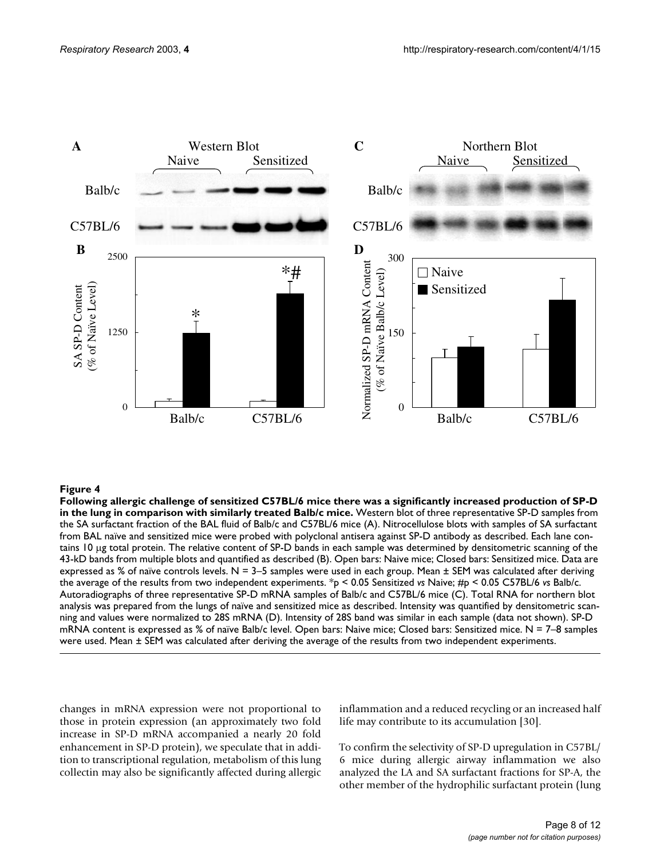<span id="page-7-0"></span>

Following allergic challenge of sensitized comparison with simila **Figure 4** rly treated Balb/c mice C57BL/6 mice there was a significantly increased production of SP-D in the lung in **Following allergic challenge of sensitized C57BL/6 mice there was a significantly increased production of SP-D in the lung in comparison with similarly treated Balb/c mice.** Western blot of three representative SP-D samples from the SA surfactant fraction of the BAL fluid of Balb/c and C57BL/6 mice (A). Nitrocellulose blots with samples of SA surfactant from BAL naïve and sensitized mice were probed with polyclonal antisera against SP-D antibody as described. Each lane contains 10 µg total protein. The relative content of SP-D bands in each sample was determined by densitometric scanning of the 43-kD bands from multiple blots and quantified as described (B). Open bars: Naive mice; Closed bars: Sensitized mice. Data are expressed as % of naïve controls levels.  $N = 3-5$  samples were used in each group. Mean  $\pm$  SEM was calculated after deriving the average of the results from two independent experiments. \*p < 0.05 Sensitized *vs* Naive; #p < 0.05 C57BL/6 *vs* Balb/c. Autoradiographs of three representative SP-D mRNA samples of Balb/c and C57BL/6 mice (C). Total RNA for northern blot analysis was prepared from the lungs of naïve and sensitized mice as described. Intensity was quantified by densitometric scanning and values were normalized to 28S mRNA (D). Intensity of 28S band was similar in each sample (data not shown). SP-D mRNA content is expressed as % of naïve Balb/c level. Open bars: Naive mice; Closed bars: Sensitized mice.  $N = 7-8$  samples were used. Mean ± SEM was calculated after deriving the average of the results from two independent experiments.

changes in mRNA expression were not proportional to those in protein expression (an approximately two fold increase in SP-D mRNA accompanied a nearly 20 fold enhancement in SP-D protein), we speculate that in addition to transcriptional regulation, metabolism of this lung collectin may also be significantly affected during allergic inflammation and a reduced recycling or an increased half life may contribute to its accumulation [30].

To confirm the selectivity of SP-D upregulation in C57BL/ 6 mice during allergic airway inflammation we also analyzed the LA and SA surfactant fractions for SP-A, the other member of the hydrophilic surfactant protein (lung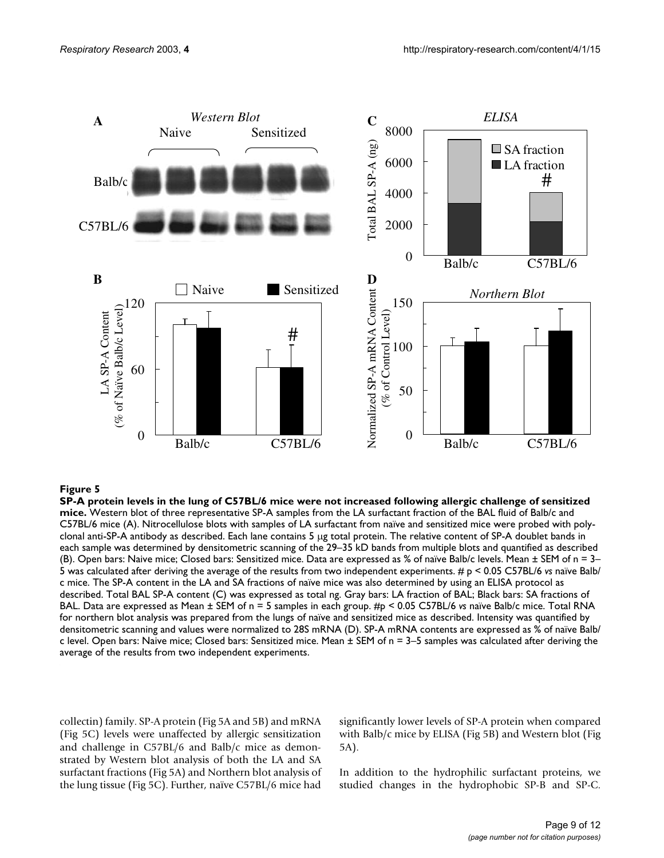

SP-A protein levels in the lung of C **Figure 5** 57BL/6 mice were not increased following allergic challenge of sensitized mice **SP-A protein levels in the lung of C57BL/6 mice were not increased following allergic challenge of sensitized mice.** Western blot of three representative SP-A samples from the LA surfactant fraction of the BAL fluid of Balb/c and C57BL/6 mice (A). Nitrocellulose blots with samples of LA surfactant from naïve and sensitized mice were probed with polyclonal anti-SP-A antibody as described. Each lane contains 5 µg total protein. The relative content of SP-A doublet bands in each sample was determined by densitometric scanning of the 29–35 kD bands from multiple blots and quantified as described (B). Open bars: Naive mice; Closed bars: Sensitized mice. Data are expressed as % of naïve Balb/c levels. Mean ± SEM of n = 3– 5 was calculated after deriving the average of the results from two independent experiments. # p < 0.05 C57BL/6 *vs* naïve Balb/ c mice. The SP-A content in the LA and SA fractions of naïve mice was also determined by using an ELISA protocol as described. Total BAL SP-A content (C) was expressed as total ng. Gray bars: LA fraction of BAL; Black bars: SA fractions of BAL. Data are expressed as Mean ± SEM of n = 5 samples in each group. #p < 0.05 C57BL/6 *vs* naïve Balb/c mice. Total RNA for northern blot analysis was prepared from the lungs of naïve and sensitized mice as described. Intensity was quantified by densitometric scanning and values were normalized to 28S mRNA (D). SP-A mRNA contents are expressed as % of naïve Balb/ c level. Open bars: Naive mice; Closed bars: Sensitized mice. Mean ± SEM of n = 3–5 samples was calculated after deriving the average of the results from two independent experiments.

collectin) family. SP-A protein (Fig 5A and 5B) and mRNA (Fig 5C) levels were unaffected by allergic sensitization and challenge in C57BL/6 and Balb/c mice as demonstrated by Western blot analysis of both the LA and SA surfactant fractions (Fig 5A) and Northern blot analysis of the lung tissue (Fig 5C). Further, naïve C57BL/6 mice had significantly lower levels of SP-A protein when compared with Balb/c mice by ELISA (Fig 5B) and Western blot (Fig 5A).

In addition to the hydrophilic surfactant proteins, we studied changes in the hydrophobic SP-B and SP-C.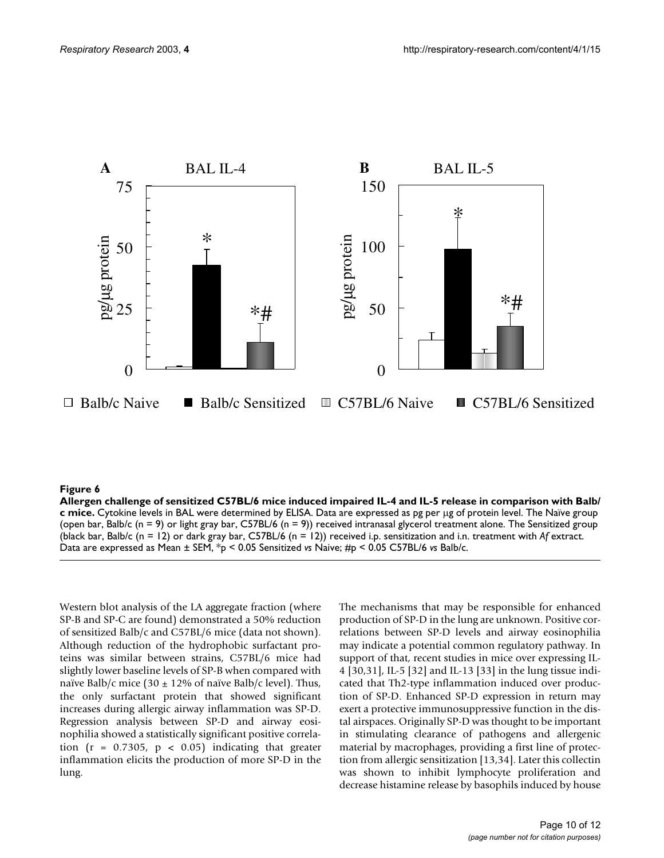

#### Allergen challenge of sensitized C57BL/6 mice induced impa **Figure 6** ired IL-4 and IL-5 release in comparison with Balb/c mice

**Allergen challenge of sensitized C57BL/6 mice induced impaired IL-4 and IL-5 release in comparison with Balb/ c mice.** Cytokine levels in BAL were determined by ELISA. Data are expressed as pg per µg of protein level. The Naïve group (open bar, Balb/c (n = 9) or light gray bar, C57BL/6 (n = 9)) received intranasal glycerol treatment alone. The Sensitized group (black bar, Balb/c (n = 12) or dark gray bar, C57BL/6 (n = 12)) received i.p. sensitization and i.n. treatment with *Af* extract. Data are expressed as Mean ± SEM, \*p < 0.05 Sensitized *vs* Naive; #p < 0.05 C57BL/6 *vs* Balb/c.

Western blot analysis of the LA aggregate fraction (where SP-B and SP-C are found) demonstrated a 50% reduction of sensitized Balb/c and C57BL/6 mice (data not shown). Although reduction of the hydrophobic surfactant proteins was similar between strains, C57BL/6 mice had slightly lower baseline levels of SP-B when compared with naïve Balb/c mice (30  $\pm$  12% of naïve Balb/c level). Thus, the only surfactant protein that showed significant increases during allergic airway inflammation was SP-D. Regression analysis between SP-D and airway eosinophilia showed a statistically significant positive correlation ( $r = 0.7305$ ,  $p < 0.05$ ) indicating that greater inflammation elicits the production of more SP-D in the lung.

The mechanisms that may be responsible for enhanced production of SP-D in the lung are unknown. Positive correlations between SP-D levels and airway eosinophilia may indicate a potential common regulatory pathway. In support of that, recent studies in mice over expressing IL-4 [30,31], IL-5 [32] and IL-13 [33] in the lung tissue indicated that Th2-type inflammation induced over production of SP-D. Enhanced SP-D expression in return may exert a protective immunosuppressive function in the distal airspaces. Originally SP-D was thought to be important in stimulating clearance of pathogens and allergenic material by macrophages, providing a first line of protection from allergic sensitization [13,34]. Later this collectin was shown to inhibit lymphocyte proliferation and decrease histamine release by basophils induced by house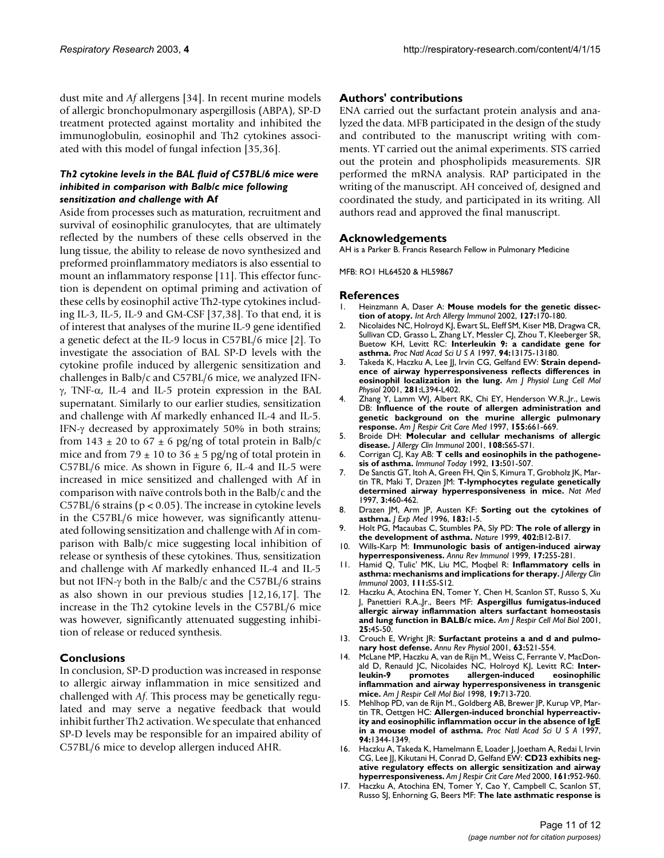dust mite and *Af* allergens [34]. In recent murine models of allergic bronchopulmonary aspergillosis (ABPA), SP-D treatment protected against mortality and inhibited the immunoglobulin, eosinophil and Th2 cytokines associated with this model of fungal infection [35,36].

#### *Th2 cytokine levels in the BAL fluid of C57BL/6 mice were inhibited in comparison with Balb/c mice following sensitization and challenge with* **Af**

Aside from processes such as maturation, recruitment and survival of eosinophilic granulocytes, that are ultimately reflected by the numbers of these cells observed in the lung tissue, the ability to release de novo synthesized and preformed proinflammatory mediators is also essential to mount an inflammatory response [11]. This effector function is dependent on optimal priming and activation of these cells by eosinophil active Th2-type cytokines including IL-3, IL-5, IL-9 and GM-CSF [37,38]. To that end, it is of interest that analyses of the murine IL-9 gene identified a genetic defect at the IL-9 locus in C57BL/6 mice [2]. To investigate the association of BAL SP-D levels with the cytokine profile induced by allergenic sensitization and challenges in Balb/c and C57BL/6 mice, we analyzed IFNγ, TNF-α, IL-4 and IL-5 protein expression in the BAL supernatant. Similarly to our earlier studies, sensitization and challenge with Af markedly enhanced IL-4 and IL-5. IFN-γ decreased by approximately 50% in both strains; from  $143 \pm 20$  to  $67 \pm 6$  pg/ng of total protein in Balb/c mice and from 79  $\pm$  10 to 36  $\pm$  5 pg/ng of total protein in C57BL/6 mice. As shown in Figure 6, IL-4 and IL-5 were increased in mice sensitized and challenged with Af in comparison with naïve controls both in the Balb/c and the C57BL/6 strains (p < 0.05). The increase in cytokine levels in the C57BL/6 mice however, was significantly attenuated following sensitization and challenge with Af in comparison with Balb/c mice suggesting local inhibition of release or synthesis of these cytokines. Thus, sensitization and challenge with Af markedly enhanced IL-4 and IL-5 but not IFN-γ both in the Balb/c and the C57BL/6 strains as also shown in our previous studies [12,16,17]. The increase in the Th2 cytokine levels in the C57BL/6 mice was however, significantly attenuated suggesting inhibition of release or reduced synthesis.

#### **Conclusions**

In conclusion, SP-D production was increased in response to allergic airway inflammation in mice sensitized and challenged with *Af*. This process may be genetically regulated and may serve a negative feedback that would inhibit further Th2 activation. We speculate that enhanced SP-D levels may be responsible for an impaired ability of C57BL/6 mice to develop allergen induced AHR.

#### **Authors' contributions**

ENA carried out the surfactant protein analysis and analyzed the data. MFB participated in the design of the study and contributed to the manuscript writing with comments. YT carried out the animal experiments. STS carried out the protein and phospholipids measurements. SJR performed the mRNA analysis. RAP participated in the writing of the manuscript. AH conceived of, designed and coordinated the study, and participated in its writing. All authors read and approved the final manuscript.

#### **Acknowledgements**

AH is a Parker B. Francis Research Fellow in Pulmonary Medicine

MFB: RO1 HL64520 & HL59867

#### **References**

- 1. Heinzmann A, Daser A: **[Mouse models for the genetic dissec](http://www.ncbi.nlm.nih.gov/entrez/query.fcgi?cmd=Retrieve&db=PubMed&dopt=Abstract&list_uids=10.1159/000053861)[tion of atopy](http://www.ncbi.nlm.nih.gov/entrez/query.fcgi?cmd=Retrieve&db=PubMed&dopt=Abstract&list_uids=10.1159/000053861)[.](http://www.ncbi.nlm.nih.gov/entrez/query.fcgi?cmd=Retrieve&db=PubMed&dopt=Abstract&list_uids=11979042)** *Int Arch Allergy Immunol* 2002, **127:**170-180.
- 2. Nicolaides NC, Holroyd KJ, Ewart SL, Eleff SM, Kiser MB, Dragwa CR, Sullivan CD, Grasso L, Zhang LY, Messler CJ, Zhou T, Kleeberger SR, Buetow KH, Levitt RC: **[Interleukin 9: a candidate gene for](http://www.ncbi.nlm.nih.gov/entrez/query.fcgi?cmd=Retrieve&db=PubMed&dopt=Abstract&list_uids=24282) [asthma](http://www.ncbi.nlm.nih.gov/entrez/query.fcgi?cmd=Retrieve&db=PubMed&dopt=Abstract&list_uids=24282)[.](http://www.ncbi.nlm.nih.gov/entrez/query.fcgi?cmd=Retrieve&db=PubMed&dopt=Abstract&list_uids=10.1073/pnas.94.24.13175)** *Proc Natl Acad Sci U S A* 1997, **94:**13175-13180.
- 3. Takeda K, Haczku A, Lee JJ, Irvin CG, Gelfand EW: **[Strain depend](http://www.ncbi.nlm.nih.gov/entrez/query.fcgi?cmd=Retrieve&db=PubMed&dopt=Abstract&list_uids=11435214)[ence of airway hyperresponsiveness reflects differences in](http://www.ncbi.nlm.nih.gov/entrez/query.fcgi?cmd=Retrieve&db=PubMed&dopt=Abstract&list_uids=11435214) [eosinophil localization in the lung.](http://www.ncbi.nlm.nih.gov/entrez/query.fcgi?cmd=Retrieve&db=PubMed&dopt=Abstract&list_uids=11435214)** *Am J Physiol Lung Cell Mol Physiol* 2001, **281:**L394-L402.
- Zhang Y, Lamm WJ, Albert RK, Chi EY, Henderson W.R.,Jr., Lewis DB: **[Influence of the route of allergen administration and](http://www.ncbi.nlm.nih.gov/entrez/query.fcgi?cmd=Retrieve&db=PubMed&dopt=Abstract&list_uids=9032210) [genetic background on the murine allergic pulmonary](http://www.ncbi.nlm.nih.gov/entrez/query.fcgi?cmd=Retrieve&db=PubMed&dopt=Abstract&list_uids=9032210) [response.](http://www.ncbi.nlm.nih.gov/entrez/query.fcgi?cmd=Retrieve&db=PubMed&dopt=Abstract&list_uids=9032210)** *Am J Respir Crit Care Med* 1997, **155:**661-669.
- 5. Broide DH: **[Molecular and cellular mechanisms of allergic](http://www.ncbi.nlm.nih.gov/entrez/query.fcgi?cmd=Retrieve&db=PubMed&dopt=Abstract&list_uids=10.1067/mai.2001.116436) [disease](http://www.ncbi.nlm.nih.gov/entrez/query.fcgi?cmd=Retrieve&db=PubMed&dopt=Abstract&list_uids=10.1067/mai.2001.116436)[.](http://www.ncbi.nlm.nih.gov/entrez/query.fcgi?cmd=Retrieve&db=PubMed&dopt=Abstract&list_uids=11498675)** *J Allergy Clin Immunol* 2001, **108:**S65-S71.
- 6. Corrigan CJ, Kay AB: **[T cells and eosinophils in the pathogene](http://www.ncbi.nlm.nih.gov/entrez/query.fcgi?cmd=Retrieve&db=PubMed&dopt=Abstract&list_uids=10.1016/0167-5699(92)90026-4)[sis of asthma](http://www.ncbi.nlm.nih.gov/entrez/query.fcgi?cmd=Retrieve&db=PubMed&dopt=Abstract&list_uids=10.1016/0167-5699(92)90026-4)[.](http://www.ncbi.nlm.nih.gov/entrez/query.fcgi?cmd=Retrieve&db=PubMed&dopt=Abstract&list_uids=1361126)** *Immunol Today* 1992, **13:**501-507.
- 7. De Sanctis GT, Itoh A, Green FH, Qin S, Kimura T, Grobholz JK, Martin TR, Maki T, Drazen JM: **[T-lymphocytes regulate genetically](http://www.ncbi.nlm.nih.gov/entrez/query.fcgi?cmd=Retrieve&db=PubMed&dopt=Abstract&list_uids=9095183) [determined airway hyperresponsiveness in mice.](http://www.ncbi.nlm.nih.gov/entrez/query.fcgi?cmd=Retrieve&db=PubMed&dopt=Abstract&list_uids=9095183)** *Nat Med* 1997, **3:**460-462.
- 8. Drazen JM, Arm JP, Austen KF: **[Sorting out the cytokines of](http://www.ncbi.nlm.nih.gov/entrez/query.fcgi?cmd=Retrieve&db=PubMed&dopt=Abstract&list_uids=8551212) [asthma.](http://www.ncbi.nlm.nih.gov/entrez/query.fcgi?cmd=Retrieve&db=PubMed&dopt=Abstract&list_uids=8551212)** *J Exp Med* 1996, **183:**1-5.
- 9. Holt PG, Macaubas C, Stumbles PA, Sly PD: **[The role of allergy in](http://www.ncbi.nlm.nih.gov/entrez/query.fcgi?cmd=Retrieve&db=PubMed&dopt=Abstract&list_uids=10.1038/35037009) [the development of asthma](http://www.ncbi.nlm.nih.gov/entrez/query.fcgi?cmd=Retrieve&db=PubMed&dopt=Abstract&list_uids=10.1038/35037009)[.](http://www.ncbi.nlm.nih.gov/entrez/query.fcgi?cmd=Retrieve&db=PubMed&dopt=Abstract&list_uids=10586890)** *Nature* 1999, **402:**B12-B17.
- 10. Wills-Karp M: **[Immunologic basis of antigen-induced airway](http://www.ncbi.nlm.nih.gov/entrez/query.fcgi?cmd=Retrieve&db=PubMed&dopt=Abstract&list_uids=10.1146/annurev.immunol.17.1.255) [hyperresponsiveness](http://www.ncbi.nlm.nih.gov/entrez/query.fcgi?cmd=Retrieve&db=PubMed&dopt=Abstract&list_uids=10.1146/annurev.immunol.17.1.255)[.](http://www.ncbi.nlm.nih.gov/entrez/query.fcgi?cmd=Retrieve&db=PubMed&dopt=Abstract&list_uids=10358759)** *Annu Rev Immunol* 1999, **17:**255-281.
- 11. Hamid Q, Tulic' MK, Liu MC, Moqbel R: **[Inflammatory cells in](http://www.ncbi.nlm.nih.gov/entrez/query.fcgi?cmd=Retrieve&db=PubMed&dopt=Abstract&list_uids=10.1067/mai.2003.22) [asthma: mechanisms and implications for therapy](http://www.ncbi.nlm.nih.gov/entrez/query.fcgi?cmd=Retrieve&db=PubMed&dopt=Abstract&list_uids=10.1067/mai.2003.22)[.](http://www.ncbi.nlm.nih.gov/entrez/query.fcgi?cmd=Retrieve&db=PubMed&dopt=Abstract&list_uids=12532083)** *J Allergy Clin Immunol* 2003, **111:**S5-S12.
- 12. Haczku A, Atochina EN, Tomer Y, Chen H, Scanlon ST, Russo S, Xu J, Panettieri R.A.,Jr., Beers MF: **[Aspergillus fumigatus-induced](http://www.ncbi.nlm.nih.gov/entrez/query.fcgi?cmd=Retrieve&db=PubMed&dopt=Abstract&list_uids=11472974) [allergic airway inflammation alters surfactant homeostasis](http://www.ncbi.nlm.nih.gov/entrez/query.fcgi?cmd=Retrieve&db=PubMed&dopt=Abstract&list_uids=11472974) [and lung function in BALB/c mice.](http://www.ncbi.nlm.nih.gov/entrez/query.fcgi?cmd=Retrieve&db=PubMed&dopt=Abstract&list_uids=11472974)** *Am J Respir Cell Mol Biol* 2001, **25:**45-50.
- 13. Crouch E, Wright JR: **[Surfactant proteins a and d and pulmo](http://www.ncbi.nlm.nih.gov/entrez/query.fcgi?cmd=Retrieve&db=PubMed&dopt=Abstract&list_uids=10.1146/annurev.physiol.63.1.521)[nary host defense](http://www.ncbi.nlm.nih.gov/entrez/query.fcgi?cmd=Retrieve&db=PubMed&dopt=Abstract&list_uids=10.1146/annurev.physiol.63.1.521)[.](http://www.ncbi.nlm.nih.gov/entrez/query.fcgi?cmd=Retrieve&db=PubMed&dopt=Abstract&list_uids=11181966)** *Annu Rev Physiol* 2001, **63:**521-554.
- McLane MP, Haczku A, van de Rijn M., Weiss C, Ferrante V, MacDonald D, Renauld JC, Nicolaides NC, Holroyd KJ, Levitt RC: **[Inter](http://www.ncbi.nlm.nih.gov/entrez/query.fcgi?cmd=Retrieve&db=PubMed&dopt=Abstract&list_uids=9806735)[leukin-9 promotes allergen-induced eosinophilic](http://www.ncbi.nlm.nih.gov/entrez/query.fcgi?cmd=Retrieve&db=PubMed&dopt=Abstract&list_uids=9806735) inflammation and airway hyperresponsiveness in transgenic [mice.](http://www.ncbi.nlm.nih.gov/entrez/query.fcgi?cmd=Retrieve&db=PubMed&dopt=Abstract&list_uids=9806735)** *Am J Respir Cell Mol Biol* 1998, **19:**713-720.
- 15. Mehlhop PD, van de Rijn M., Goldberg AB, Brewer JP, Kurup VP, Martin TR, Oettgen HC: **[Allergen-induced bronchial hyperreactiv](http://www.ncbi.nlm.nih.gov/entrez/query.fcgi?cmd=Retrieve&db=PubMed&dopt=Abstract&list_uids=19793)[ity and eosinophilic inflammation occur in the absence of IgE](http://www.ncbi.nlm.nih.gov/entrez/query.fcgi?cmd=Retrieve&db=PubMed&dopt=Abstract&list_uids=19793) [in a mouse model of asthma](http://www.ncbi.nlm.nih.gov/entrez/query.fcgi?cmd=Retrieve&db=PubMed&dopt=Abstract&list_uids=19793)[.](http://www.ncbi.nlm.nih.gov/entrez/query.fcgi?cmd=Retrieve&db=PubMed&dopt=Abstract&list_uids=10.1073/pnas.94.4.1344)** *Proc Natl Acad Sci U S A* 1997, **94:**1344-1349.
- 16. Haczku A, Takeda K, Hamelmann E, Loader J, Joetham A, Redai I, Irvin CG, Lee JJ, Kikutani H, Conrad D, Gelfand EW: **[CD23 exhibits neg](http://www.ncbi.nlm.nih.gov/entrez/query.fcgi?cmd=Retrieve&db=PubMed&dopt=Abstract&list_uids=10712348)[ative regulatory effects on allergic sensitization and airway](http://www.ncbi.nlm.nih.gov/entrez/query.fcgi?cmd=Retrieve&db=PubMed&dopt=Abstract&list_uids=10712348) [hyperresponsiveness.](http://www.ncbi.nlm.nih.gov/entrez/query.fcgi?cmd=Retrieve&db=PubMed&dopt=Abstract&list_uids=10712348)** *Am J Respir Crit Care Med* 2000, **161:**952-960.
- 17. Haczku A, Atochina EN, Tomer Y, Cao Y, Campbell C, Scanlon ST, Russo SJ, Enhorning G, Beers MF: **[The late asthmatic response is](http://www.ncbi.nlm.nih.gov/entrez/query.fcgi?cmd=Retrieve&db=PubMed&dopt=Abstract&list_uids=12225952)**